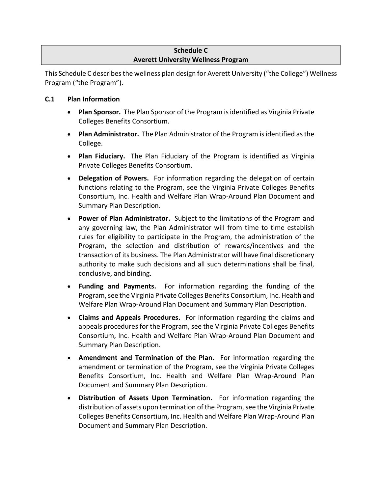# **Schedule C Averett University Wellness Program**

This Schedule C describes the wellness plan design for Averett University ("the College") Wellness Program ("the Program").

# **C.1 Plan Information**

- **Plan Sponsor.** The Plan Sponsor of the Program is identified as Virginia Private Colleges Benefits Consortium.
- **Plan Administrator.** The Plan Administrator of the Program is identified as the College.
- **Plan Fiduciary.** The Plan Fiduciary of the Program is identified as Virginia Private Colleges Benefits Consortium.
- **Delegation of Powers.** For information regarding the delegation of certain functions relating to the Program, see the Virginia Private Colleges Benefits Consortium, Inc. Health and Welfare Plan Wrap-Around Plan Document and Summary Plan Description.
- **Power of Plan Administrator.** Subject to the limitations of the Program and any governing law, the Plan Administrator will from time to time establish rules for eligibility to participate in the Program, the administration of the Program, the selection and distribution of rewards/incentives and the transaction of its business. The Plan Administrator will have final discretionary authority to make such decisions and all such determinations shall be final, conclusive, and binding.
- **Funding and Payments.** For information regarding the funding of the Program, see the Virginia Private Colleges Benefits Consortium, Inc. Health and Welfare Plan Wrap-Around Plan Document and Summary Plan Description.
- **Claims and Appeals Procedures.** For information regarding the claims and appeals procedures for the Program, see the Virginia Private Colleges Benefits Consortium, Inc. Health and Welfare Plan Wrap-Around Plan Document and Summary Plan Description.
- **Amendment and Termination of the Plan.** For information regarding the amendment or termination of the Program, see the Virginia Private Colleges Benefits Consortium, Inc. Health and Welfare Plan Wrap-Around Plan Document and Summary Plan Description.
- **Distribution of Assets Upon Termination.** For information regarding the distribution of assets upon termination of the Program, see the Virginia Private Colleges Benefits Consortium, Inc. Health and Welfare Plan Wrap-Around Plan Document and Summary Plan Description.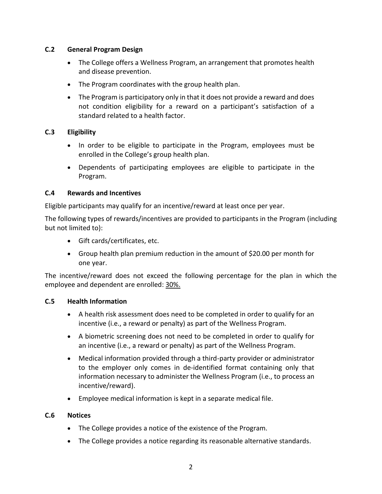### **C.2 General Program Design**

- The College offers a Wellness Program, an arrangement that promotes health and disease prevention.
- The Program coordinates with the group health plan.
- The Program is participatory only in that it does not provide a reward and does not condition eligibility for a reward on a participant's satisfaction of a standard related to a health factor.

### **C.3 Eligibility**

- In order to be eligible to participate in the Program, employees must be enrolled in the College's group health plan.
- Dependents of participating employees are eligible to participate in the Program.

### **C.4 Rewards and Incentives**

Eligible participants may qualify for an incentive/reward at least once per year.

The following types of rewards/incentives are provided to participants in the Program (including but not limited to):

- Gift cards/certificates, etc.
- Group health plan premium reduction in the amount of \$20.00 per month for one year.

The incentive/reward does not exceed the following percentage for the plan in which the employee and dependent are enrolled: 30%.

#### **C.5 Health Information**

- A health risk assessment does need to be completed in order to qualify for an incentive (i.e., a reward or penalty) as part of the Wellness Program.
- A biometric screening does not need to be completed in order to qualify for an incentive (i.e., a reward or penalty) as part of the Wellness Program.
- Medical information provided through a third-party provider or administrator to the employer only comes in de-identified format containing only that information necessary to administer the Wellness Program (i.e., to process an incentive/reward).
- Employee medical information is kept in a separate medical file.

# **C.6 Notices**

- The College provides a notice of the existence of the Program.
- The College provides a notice regarding its reasonable alternative standards.